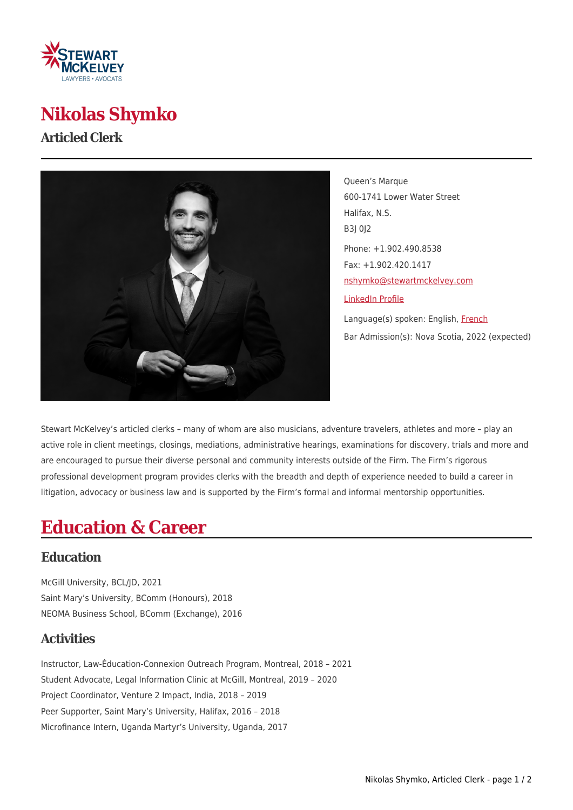

# **Nikolas Shymko**

#### **Articled Clerk**



Queen's Marque 600-1741 Lower Water Street Halifax, N.S. B3J 0J2 Phone: +1.902.490.8538 Fax: +1.902.420.1417 [nshymko@stewartmckelvey.com](mailto:nshymko@stewartmckelvey.com) [LinkedIn Profile](https://www.linkedin.com/in/nikshymko/) Language(s) spoken: English, [French](https://www.stewartmckelvey.com/fr/people/shymko-nikolas) Bar Admission(s): Nova Scotia, 2022 (expected)

Stewart McKelvey's articled clerks – many of whom are also musicians, adventure travelers, athletes and more – play an active role in client meetings, closings, mediations, administrative hearings, examinations for discovery, trials and more and are encouraged to pursue their diverse personal and community interests outside of the Firm. The Firm's rigorous professional development program provides clerks with the breadth and depth of experience needed to build a career in litigation, advocacy or business law and is supported by the Firm's formal and informal mentorship opportunities.

# **Education & Career**

### **Education**

McGill University, BCL/JD, 2021 Saint Mary's University, BComm (Honours), 2018 NEOMA Business School, BComm (Exchange), 2016

### **Activities**

Instructor, Law-Éducation-Connexion Outreach Program, Montreal, 2018 – 2021 Student Advocate, Legal Information Clinic at McGill, Montreal, 2019 – 2020 Project Coordinator, Venture 2 Impact, India, 2018 – 2019 Peer Supporter, Saint Mary's University, Halifax, 2016 – 2018 Microfinance Intern, Uganda Martyr's University, Uganda, 2017